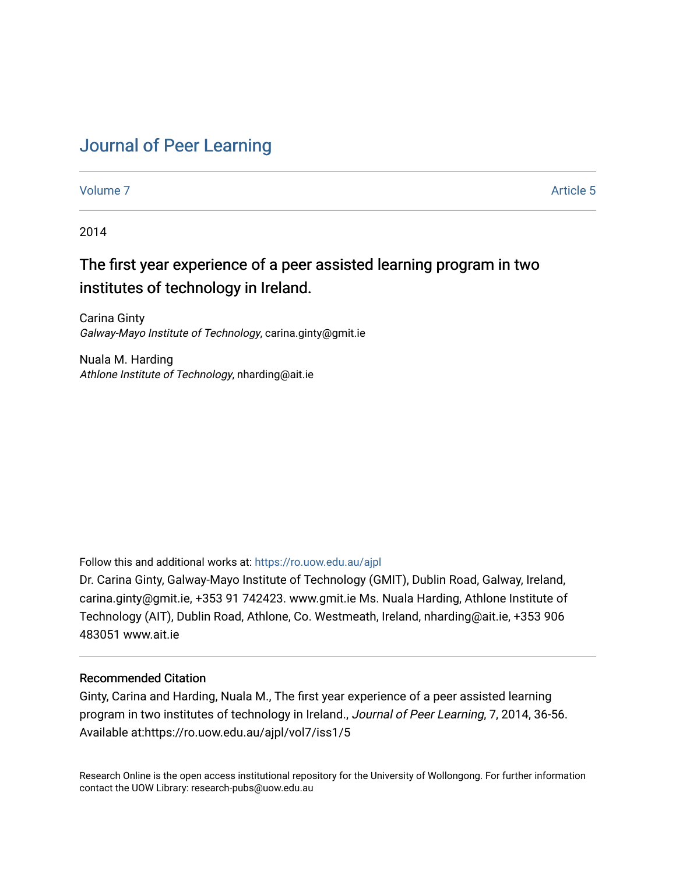# [Journal of Peer Learning](https://ro.uow.edu.au/ajpl)

[Volume 7](https://ro.uow.edu.au/ajpl/vol7) Article 5

2014

# The first year experience of a peer assisted learning program in two institutes of technology in Ireland.

Carina Ginty Galway-Mayo Institute of Technology, carina.ginty@gmit.ie

Nuala M. Harding Athlone Institute of Technology, nharding@ait.ie

Follow this and additional works at: [https://ro.uow.edu.au/ajpl](https://ro.uow.edu.au/ajpl?utm_source=ro.uow.edu.au%2Fajpl%2Fvol7%2Fiss1%2F5&utm_medium=PDF&utm_campaign=PDFCoverPages) 

Dr. Carina Ginty, Galway-Mayo Institute of Technology (GMIT), Dublin Road, Galway, Ireland, carina.ginty@gmit.ie, +353 91 742423. www.gmit.ie Ms. Nuala Harding, Athlone Institute of Technology (AIT), Dublin Road, Athlone, Co. Westmeath, Ireland, nharding@ait.ie, +353 906 483051 www.ait.ie

# Recommended Citation

Ginty, Carina and Harding, Nuala M., The first year experience of a peer assisted learning program in two institutes of technology in Ireland., Journal of Peer Learning, 7, 2014, 36-56. Available at:https://ro.uow.edu.au/ajpl/vol7/iss1/5

Research Online is the open access institutional repository for the University of Wollongong. For further information contact the UOW Library: research-pubs@uow.edu.au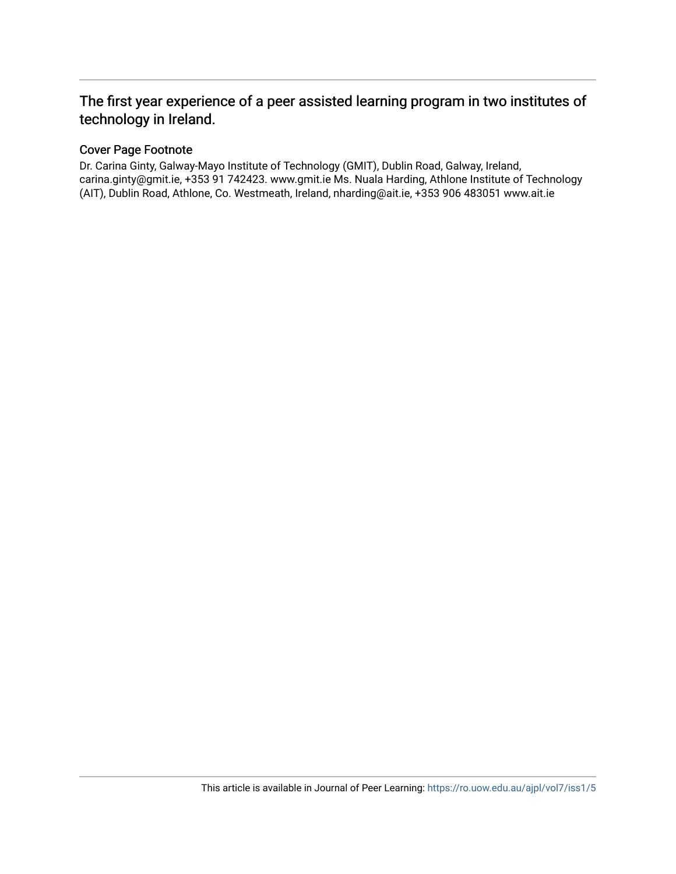# The first year experience of a peer assisted learning program in two institutes of technology in Ireland.

# Cover Page Footnote

Dr. Carina Ginty, Galway-Mayo Institute of Technology (GMIT), Dublin Road, Galway, Ireland, carina.ginty@gmit.ie, +353 91 742423. www.gmit.ie Ms. Nuala Harding, Athlone Institute of Technology (AIT), Dublin Road, Athlone, Co. Westmeath, Ireland, nharding@ait.ie, +353 906 483051 www.ait.ie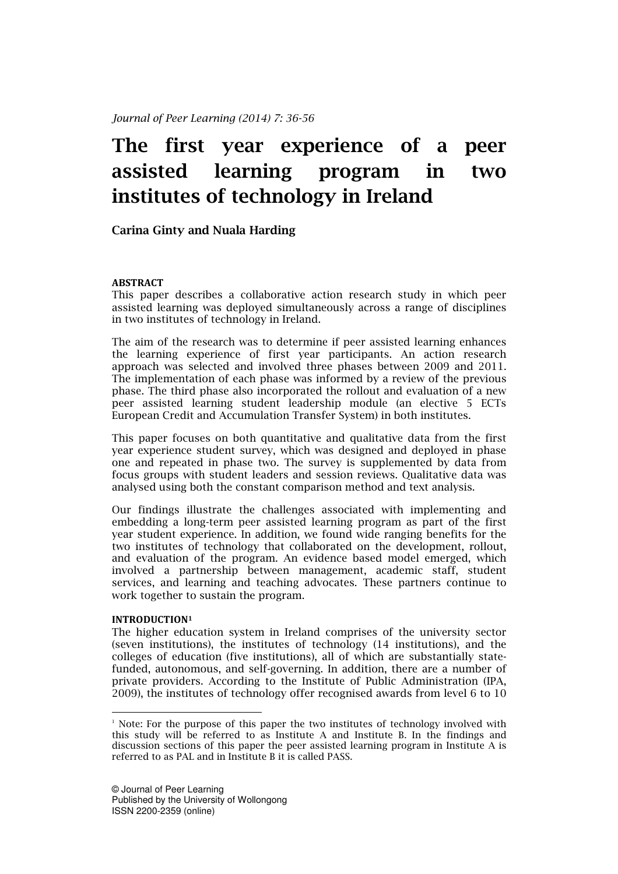# The first year experience of a peer assisted learning program in two institutes of technology in Ireland

Carina Ginty and Nuala Harding

# ABSTRACT

This paper describes a collaborative action research study in which peer assisted learning was deployed simultaneously across a range of disciplines in two institutes of technology in Ireland.

The aim of the research was to determine if peer assisted learning enhances the learning experience of first year participants. An action research approach was selected and involved three phases between 2009 and 2011. The implementation of each phase was informed by a review of the previous phase. The third phase also incorporated the rollout and evaluation of a new peer assisted learning student leadership module (an elective 5 ECTs European Credit and Accumulation Transfer System) in both institutes.

This paper focuses on both quantitative and qualitative data from the first year experience student survey, which was designed and deployed in phase one and repeated in phase two. The survey is supplemented by data from focus groups with student leaders and session reviews. Qualitative data was analysed using both the constant comparison method and text analysis.

Our findings illustrate the challenges associated with implementing and embedding a long-term peer assisted learning program as part of the first year student experience. In addition, we found wide ranging benefits for the two institutes of technology that collaborated on the development, rollout, and evaluation of the program. An evidence based model emerged, which involved a partnership between management, academic staff, student services, and learning and teaching advocates. These partners continue to work together to sustain the program.

#### INTRODUCTION<sup>1</sup>

l

The higher education system in Ireland comprises of the university sector (seven institutions), the institutes of technology (14 institutions), and the colleges of education (five institutions), all of which are substantially statefunded, autonomous, and self-governing. In addition, there are a number of private providers. According to the Institute of Public Administration (IPA, 2009), the institutes of technology offer recognised awards from level 6 to 10

<sup>1</sup> Note: For the purpose of this paper the two institutes of technology involved with this study will be referred to as Institute A and Institute B. In the findings and discussion sections of this paper the peer assisted learning program in Institute A is referred to as PAL and in Institute B it is called PASS.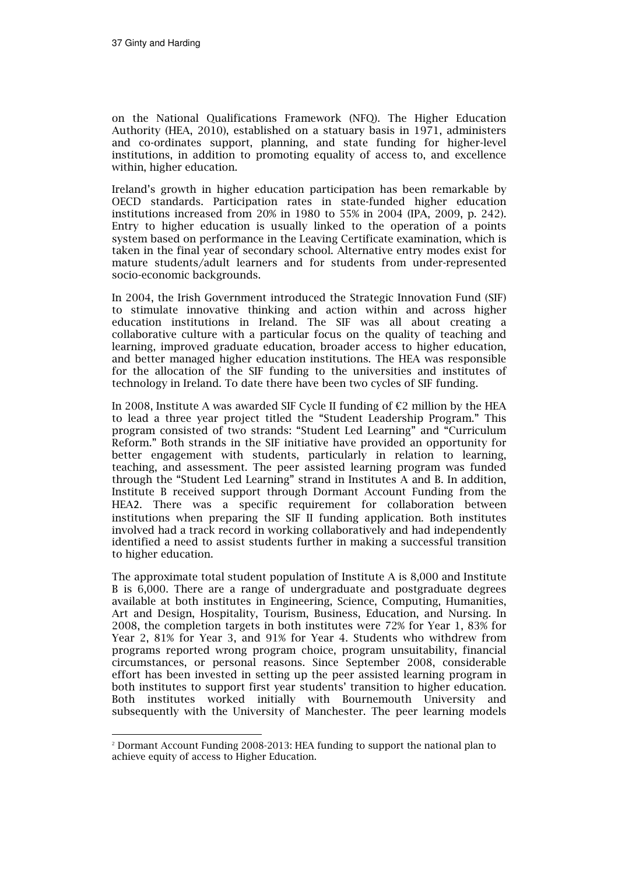$\overline{a}$ 

on the National Qualifications Framework (NFQ). The Higher Education Authority (HEA, 2010), established on a statuary basis in 1971, administers and co-ordinates support, planning, and state funding for higher-level institutions, in addition to promoting equality of access to, and excellence within, higher education.

Ireland's growth in higher education participation has been remarkable by OECD standards. Participation rates in state-funded higher education institutions increased from 20% in 1980 to 55% in 2004 (IPA, 2009, p. 242). Entry to higher education is usually linked to the operation of a points system based on performance in the Leaving Certificate examination, which is taken in the final year of secondary school. Alternative entry modes exist for mature students/adult learners and for students from under-represented socio-economic backgrounds.

In 2004, the Irish Government introduced the Strategic Innovation Fund (SIF) to stimulate innovative thinking and action within and across higher education institutions in Ireland. The SIF was all about creating a collaborative culture with a particular focus on the quality of teaching and learning, improved graduate education, broader access to higher education, and better managed higher education institutions. The HEA was responsible for the allocation of the SIF funding to the universities and institutes of technology in Ireland. To date there have been two cycles of SIF funding.

In 2008, Institute A was awarded SIF Cycle II funding of  $\epsilon$ 2 million by the HEA to lead a three year project titled the "Student Leadership Program." This program consisted of two strands: "Student Led Learning" and "Curriculum Reform." Both strands in the SIF initiative have provided an opportunity for better engagement with students, particularly in relation to learning, teaching, and assessment. The peer assisted learning program was funded through the "Student Led Learning" strand in Institutes A and B. In addition, Institute B received support through Dormant Account Funding from the HEA2. There was a specific requirement for collaboration between institutions when preparing the SIF II funding application. Both institutes involved had a track record in working collaboratively and had independently identified a need to assist students further in making a successful transition to higher education.

The approximate total student population of Institute A is 8,000 and Institute B is 6,000. There are a range of undergraduate and postgraduate degrees available at both institutes in Engineering, Science, Computing, Humanities, Art and Design, Hospitality, Tourism, Business, Education, and Nursing. In 2008, the completion targets in both institutes were 72% for Year 1, 83% for Year 2, 81% for Year 3, and 91% for Year 4. Students who withdrew from programs reported wrong program choice, program unsuitability, financial circumstances, or personal reasons. Since September 2008, considerable effort has been invested in setting up the peer assisted learning program in both institutes to support first year students' transition to higher education. Both institutes worked initially with Bournemouth University and subsequently with the University of Manchester. The peer learning models

<sup>2</sup> Dormant Account Funding 2008-2013: HEA funding to support the national plan to achieve equity of access to Higher Education.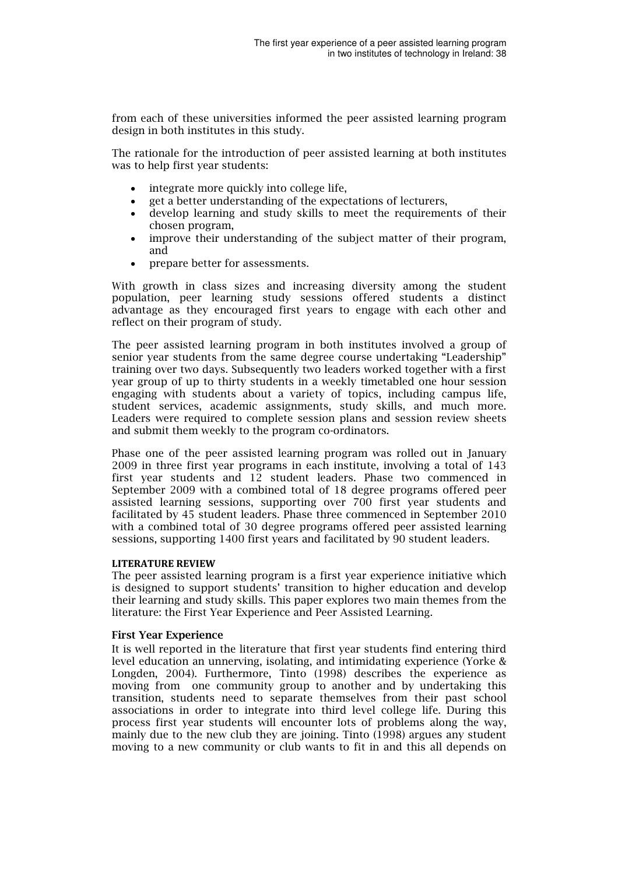from each of these universities informed the peer assisted learning program design in both institutes in this study.

The rationale for the introduction of peer assisted learning at both institutes was to help first year students:

- integrate more quickly into college life,
- get a better understanding of the expectations of lecturers,
- develop learning and study skills to meet the requirements of their chosen program,
- improve their understanding of the subject matter of their program, and
- prepare better for assessments.

With growth in class sizes and increasing diversity among the student population, peer learning study sessions offered students a distinct advantage as they encouraged first years to engage with each other and reflect on their program of study.

The peer assisted learning program in both institutes involved a group of senior year students from the same degree course undertaking "Leadership" training over two days. Subsequently two leaders worked together with a first year group of up to thirty students in a weekly timetabled one hour session engaging with students about a variety of topics, including campus life, student services, academic assignments, study skills, and much more. Leaders were required to complete session plans and session review sheets and submit them weekly to the program co-ordinators.

Phase one of the peer assisted learning program was rolled out in January 2009 in three first year programs in each institute, involving a total of 143 first year students and 12 student leaders. Phase two commenced in September 2009 with a combined total of 18 degree programs offered peer assisted learning sessions, supporting over 700 first year students and facilitated by 45 student leaders. Phase three commenced in September 2010 with a combined total of 30 degree programs offered peer assisted learning sessions, supporting 1400 first years and facilitated by 90 student leaders.

#### LITERATURE REVIEW

The peer assisted learning program is a first year experience initiative which is designed to support students' transition to higher education and develop their learning and study skills. This paper explores two main themes from the literature: the First Year Experience and Peer Assisted Learning.

#### First Year Experience

It is well reported in the literature that first year students find entering third level education an unnerving, isolating, and intimidating experience (Yorke & Longden, 2004). Furthermore, Tinto (1998) describes the experience as moving from one community group to another and by undertaking this transition, students need to separate themselves from their past school associations in order to integrate into third level college life. During this process first year students will encounter lots of problems along the way, mainly due to the new club they are joining. Tinto (1998) argues any student moving to a new community or club wants to fit in and this all depends on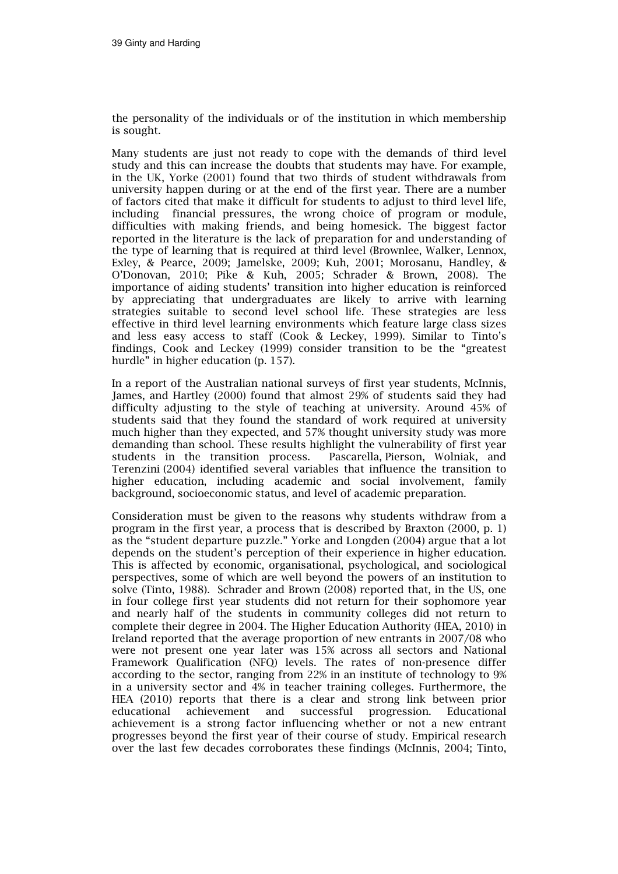the personality of the individuals or of the institution in which membership is sought.

Many students are just not ready to cope with the demands of third level study and this can increase the doubts that students may have. For example, in the UK, Yorke (2001) found that two thirds of student withdrawals from university happen during or at the end of the first year. There are a number of factors cited that make it difficult for students to adjust to third level life, including financial pressures, the wrong choice of program or module, difficulties with making friends, and being homesick. The biggest factor reported in the literature is the lack of preparation for and understanding of the type of learning that is required at third level (Brownlee, Walker, Lennox, Exley, & Pearce, 2009; Jamelske, 2009; Kuh, 2001; Morosanu, Handley, & O'Donovan, 2010; Pike & Kuh, 2005; Schrader & Brown, 2008). The importance of aiding students' transition into higher education is reinforced by appreciating that undergraduates are likely to arrive with learning strategies suitable to second level school life. These strategies are less effective in third level learning environments which feature large class sizes and less easy access to staff (Cook & Leckey, 1999). Similar to Tinto's findings, Cook and Leckey (1999) consider transition to be the "greatest hurdle" in higher education (p. 157).

In a report of the Australian national surveys of first year students, McInnis, James, and Hartley (2000) found that almost 29% of students said they had difficulty adjusting to the style of teaching at university. Around 45% of students said that they found the standard of work required at university much higher than they expected, and 57% thought university study was more demanding than school. These results highlight the vulnerability of first year students in the transition process. Pascarella, Pierson, Wolniak, and Terenzini (2004) identified several variables that influence the transition to higher education, including academic and social involvement, family background, socioeconomic status, and level of academic preparation.

Consideration must be given to the reasons why students withdraw from a program in the first year, a process that is described by Braxton (2000, p. 1) as the "student departure puzzle." Yorke and Longden (2004) argue that a lot depends on the student's perception of their experience in higher education. This is affected by economic, organisational, psychological, and sociological perspectives, some of which are well beyond the powers of an institution to solve (Tinto, 1988). Schrader and Brown (2008) reported that, in the US, one in four college first year students did not return for their sophomore year and nearly half of the students in community colleges did not return to complete their degree in 2004. The Higher Education Authority (HEA, 2010) in Ireland reported that the average proportion of new entrants in 2007/08 who were not present one year later was 15% across all sectors and National Framework Qualification (NFQ) levels. The rates of non-presence differ according to the sector, ranging from 22% in an institute of technology to 9% in a university sector and 4% in teacher training colleges. Furthermore, the HEA (2010) reports that there is a clear and strong link between prior educational achievement and successful progression. Educational achievement is a strong factor influencing whether or not a new entrant progresses beyond the first year of their course of study. Empirical research over the last few decades corroborates these findings (McInnis, 2004; Tinto,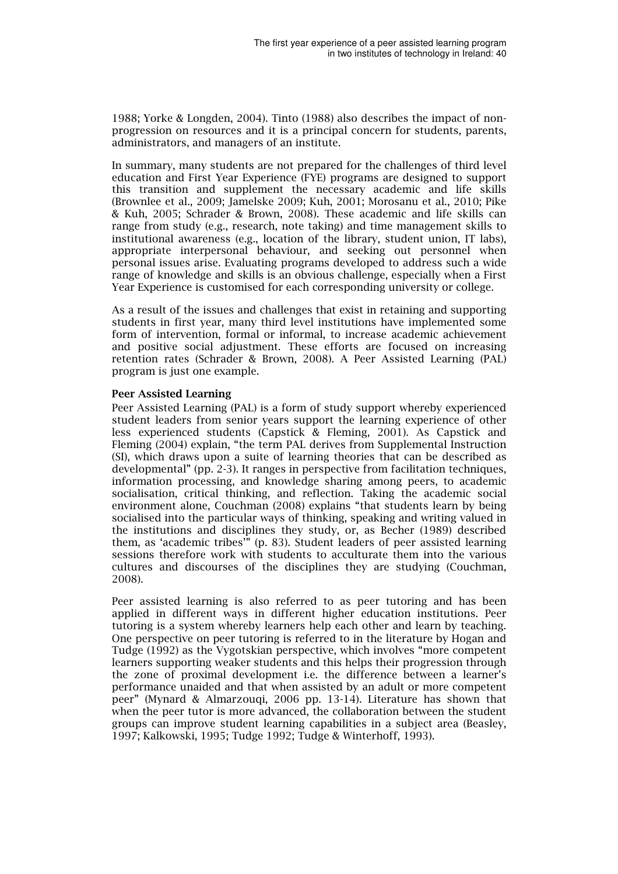1988; Yorke & Longden, 2004). Tinto (1988) also describes the impact of nonprogression on resources and it is a principal concern for students, parents, administrators, and managers of an institute.

In summary, many students are not prepared for the challenges of third level education and First Year Experience (FYE) programs are designed to support this transition and supplement the necessary academic and life skills (Brownlee et al., 2009; Jamelske 2009; Kuh, 2001; Morosanu et al., 2010; Pike & Kuh, 2005; Schrader & Brown, 2008). These academic and life skills can range from study (e.g., research, note taking) and time management skills to institutional awareness (e.g., location of the library, student union, IT labs), appropriate interpersonal behaviour, and seeking out personnel when personal issues arise. Evaluating programs developed to address such a wide range of knowledge and skills is an obvious challenge, especially when a First Year Experience is customised for each corresponding university or college.

As a result of the issues and challenges that exist in retaining and supporting students in first year, many third level institutions have implemented some form of intervention, formal or informal, to increase academic achievement and positive social adjustment. These efforts are focused on increasing retention rates (Schrader & Brown, 2008). A Peer Assisted Learning (PAL) program is just one example.

# Peer Assisted Learning

Peer Assisted Learning (PAL) is a form of study support whereby experienced student leaders from senior years support the learning experience of other less experienced students (Capstick & Fleming, 2001). As Capstick and Fleming (2004) explain, "the term PAL derives from Supplemental Instruction (SI), which draws upon a suite of learning theories that can be described as developmental" (pp. 2-3). It ranges in perspective from facilitation techniques, information processing, and knowledge sharing among peers, to academic socialisation, critical thinking, and reflection. Taking the academic social environment alone, Couchman (2008) explains "that students learn by being socialised into the particular ways of thinking, speaking and writing valued in the institutions and disciplines they study, or, as Becher (1989) described them, as 'academic tribes'" (p. 83). Student leaders of peer assisted learning sessions therefore work with students to acculturate them into the various cultures and discourses of the disciplines they are studying (Couchman, 2008).

Peer assisted learning is also referred to as peer tutoring and has been applied in different ways in different higher education institutions. Peer tutoring is a system whereby learners help each other and learn by teaching. One perspective on peer tutoring is referred to in the literature by Hogan and Tudge (1992) as the Vygotskian perspective, which involves "more competent learners supporting weaker students and this helps their progression through the zone of proximal development i.e. the difference between a learner's performance unaided and that when assisted by an adult or more competent peer" (Mynard & Almarzouqi, 2006 pp. 13-14). Literature has shown that when the peer tutor is more advanced, the collaboration between the student groups can improve student learning capabilities in a subject area (Beasley, 1997; Kalkowski, 1995; Tudge 1992; Tudge & Winterhoff, 1993).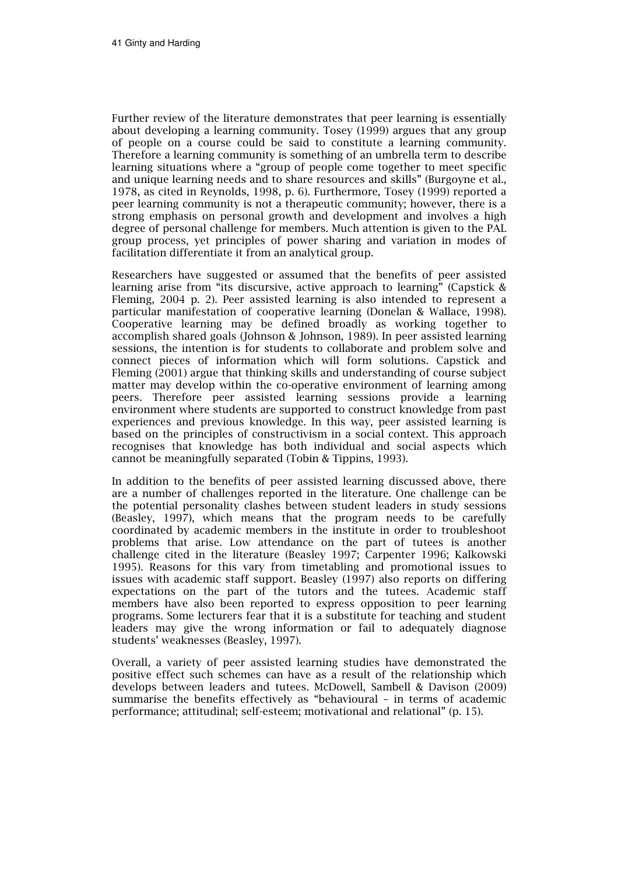Further review of the literature demonstrates that peer learning is essentially about developing a learning community. Tosey (1999) argues that any group of people on a course could be said to constitute a learning community. Therefore a learning community is something of an umbrella term to describe learning situations where a "group of people come together to meet specific and unique learning needs and to share resources and skills" (Burgoyne et al., 1978, as cited in Reynolds, 1998, p. 6). Furthermore, Tosey (1999) reported a peer learning community is not a therapeutic community; however, there is a strong emphasis on personal growth and development and involves a high degree of personal challenge for members. Much attention is given to the PAL group process, yet principles of power sharing and variation in modes of facilitation differentiate it from an analytical group.

Researchers have suggested or assumed that the benefits of peer assisted learning arise from "its discursive, active approach to learning" (Capstick & Fleming, 2004 p. 2). Peer assisted learning is also intended to represent a particular manifestation of cooperative learning (Donelan & Wallace, 1998). Cooperative learning may be defined broadly as working together to accomplish shared goals (Johnson & Johnson, 1989). In peer assisted learning sessions, the intention is for students to collaborate and problem solve and connect pieces of information which will form solutions. Capstick and Fleming (2001) argue that thinking skills and understanding of course subject matter may develop within the co-operative environment of learning among peers. Therefore peer assisted learning sessions provide a learning environment where students are supported to construct knowledge from past experiences and previous knowledge. In this way, peer assisted learning is based on the principles of constructivism in a social context. This approach recognises that knowledge has both individual and social aspects which cannot be meaningfully separated (Tobin & Tippins, 1993).

In addition to the benefits of peer assisted learning discussed above, there are a number of challenges reported in the literature. One challenge can be the potential personality clashes between student leaders in study sessions (Beasley, 1997), which means that the program needs to be carefully coordinated by academic members in the institute in order to troubleshoot problems that arise. Low attendance on the part of tutees is another challenge cited in the literature (Beasley 1997; Carpenter 1996; Kalkowski 1995). Reasons for this vary from timetabling and promotional issues to issues with academic staff support. Beasley (1997) also reports on differing expectations on the part of the tutors and the tutees. Academic staff members have also been reported to express opposition to peer learning programs. Some lecturers fear that it is a substitute for teaching and student leaders may give the wrong information or fail to adequately diagnose students' weaknesses (Beasley, 1997).

Overall, a variety of peer assisted learning studies have demonstrated the positive effect such schemes can have as a result of the relationship which develops between leaders and tutees. McDowell, Sambell & Davison (2009) summarise the benefits effectively as "behavioural – in terms of academic performance; attitudinal; self-esteem; motivational and relational" (p. 15).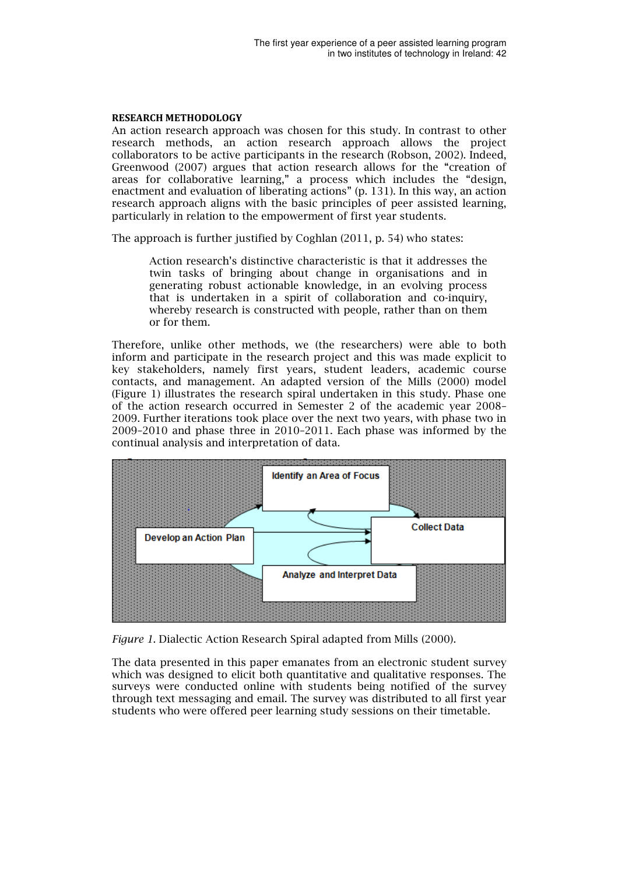### RESEARCH METHODOLOGY METHODOLOGY

An action research approach was chosen for this study. In contrast to other research methods, an action research approach allows the project collaborators to be active participants in the research (Robson (Robson, 2002). Indeed Greenwood (2007) argues that action research allows for the "creation of areas for collaborative learning," a process which includes the "design, enactment and evaluation of liberating actions"  $(p. 131)$ . In this way, an action research approach aligns with the basic principles of peer assisted l learning, particularly in relation to the empowerment of first year students. . In contrast to other<br>allows the project<br>obson, 2002). Indeed,

The approach is further justified by Coghlan (2011, p. 54) who states:

Action research's distinctive characteristic is that it addresses the twin tasks of bringing about change in organisations and in generating robust actionable knowledge, in an evolving process that is undertaken in a spirit of collaboration and co--inquiry, whereby research is constructed with people, rather than on them or for them.

Therefore, unlike other methods methods, we (the researchers) were able to both Therefore, unlike other methods, we (the researchers) were able to both<br>inform and participate in the research project and this was made explicit to key stakeholders, namely first years, student leaders, academic course contacts, and management. An adapted version of the Mills (2000) model (Figure 1) illustrates the research spiral undertaken in this study. Phase one of the action research occurred in Semester 2 of the academic year 2008 2008– 2009. Further iterations took place over the next two years, with phase two in  $2009-2010$  and phase three in  $2010-2011$ . Each phase was informed by the continual analysis and interpretation of data.



Figure 1. Dialectic Action Research Spiral adapted from Mills (2000).

The data presented in this paper emanates from an electronic student survey which was designed to elicit both quantitative and qualitative responses. The surveys were conducted online with students being notified of the survey through text messaging and email. The survey was distributed to all first year students who were offered peer learning study sessions on their timetable.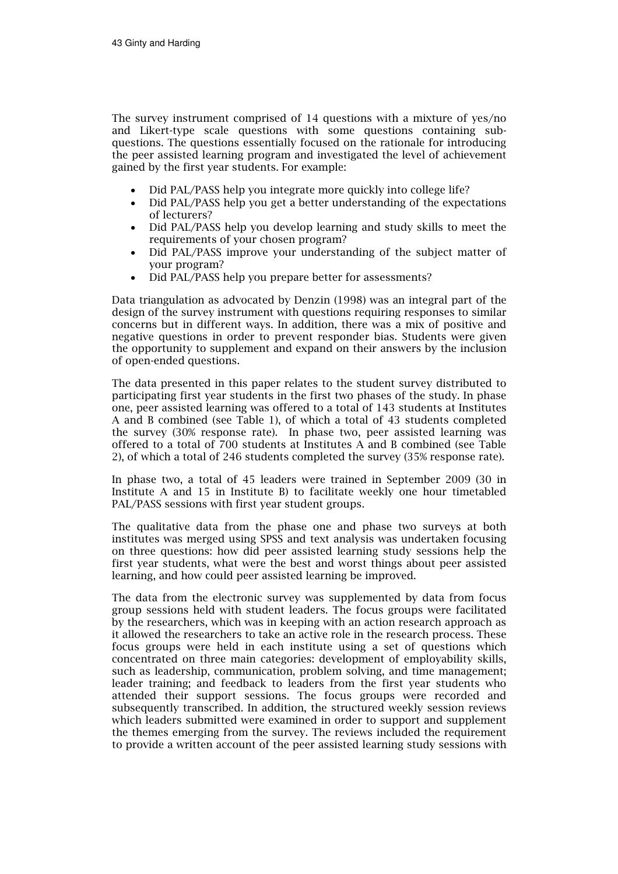The survey instrument comprised of 14 questions with a mixture of yes/no and Likert-type scale questions with some questions containing subquestions. The questions essentially focused on the rationale for introducing the peer assisted learning program and investigated the level of achievement gained by the first year students. For example:

- Did PAL/PASS help you integrate more quickly into college life?
- Did PAL/PASS help you get a better understanding of the expectations of lecturers?
- Did PAL/PASS help you develop learning and study skills to meet the requirements of your chosen program?
- Did PAL/PASS improve your understanding of the subject matter of your program?
- Did PAL/PASS help you prepare better for assessments?

Data triangulation as advocated by Denzin (1998) was an integral part of the design of the survey instrument with questions requiring responses to similar concerns but in different ways. In addition, there was a mix of positive and negative questions in order to prevent responder bias. Students were given the opportunity to supplement and expand on their answers by the inclusion of open-ended questions.

The data presented in this paper relates to the student survey distributed to participating first year students in the first two phases of the study. In phase one, peer assisted learning was offered to a total of 143 students at Institutes A and B combined (see Table 1), of which a total of 43 students completed the survey (30% response rate). In phase two, peer assisted learning was offered to a total of 700 students at Institutes A and B combined (see Table 2), of which a total of 246 students completed the survey (35% response rate).

In phase two, a total of 45 leaders were trained in September 2009 (30 in Institute A and 15 in Institute B) to facilitate weekly one hour timetabled PAL/PASS sessions with first year student groups.

The qualitative data from the phase one and phase two surveys at both institutes was merged using SPSS and text analysis was undertaken focusing on three questions: how did peer assisted learning study sessions help the first year students, what were the best and worst things about peer assisted learning, and how could peer assisted learning be improved.

The data from the electronic survey was supplemented by data from focus group sessions held with student leaders. The focus groups were facilitated by the researchers, which was in keeping with an action research approach as it allowed the researchers to take an active role in the research process. These focus groups were held in each institute using a set of questions which concentrated on three main categories: development of employability skills, such as leadership, communication, problem solving, and time management; leader training; and feedback to leaders from the first year students who attended their support sessions. The focus groups were recorded and subsequently transcribed. In addition, the structured weekly session reviews which leaders submitted were examined in order to support and supplement the themes emerging from the survey. The reviews included the requirement to provide a written account of the peer assisted learning study sessions with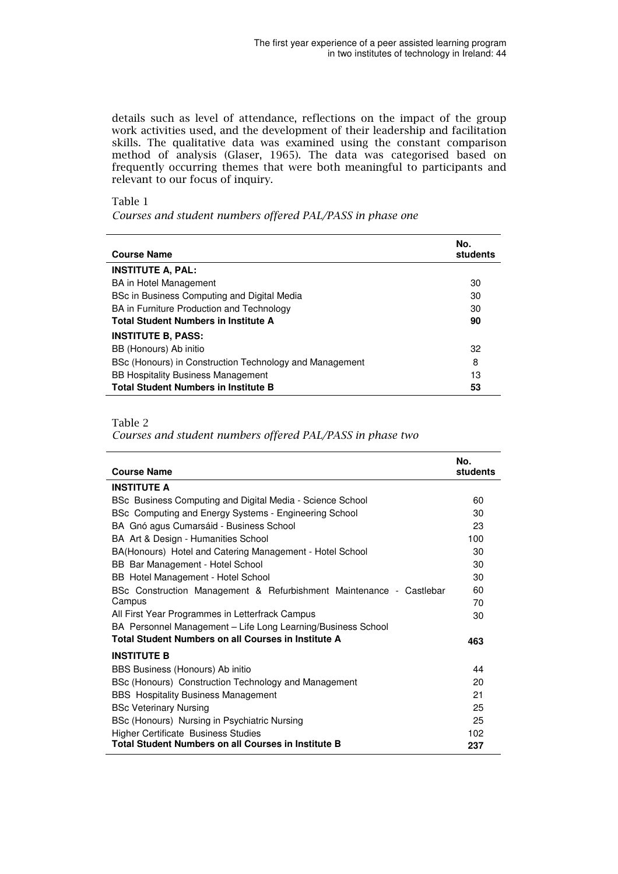details such as level of attendance, reflections on the impact of the group work activities used, and the development of their leadership and facilitation skills. The qualitative data was examined using the constant comparison method of analysis (Glaser, 1965). The data was categorised based on frequently occurring themes that were both meaningful to participants and relevant to our focus of inquiry.

# Table 1

Courses and student numbers offered PAL/PASS in phase one

| <b>Course Name</b>                                      | No.<br>students |
|---------------------------------------------------------|-----------------|
| <b>INSTITUTE A, PAL:</b>                                |                 |
| <b>BA</b> in Hotel Management                           | 30              |
| BSc in Business Computing and Digital Media             | 30              |
| BA in Furniture Production and Technology               | 30              |
| <b>Total Student Numbers in Institute A</b>             | 90              |
| <b>INSTITUTE B, PASS:</b>                               |                 |
| BB (Honours) Ab initio                                  | 32              |
| BSc (Honours) in Construction Technology and Management | 8               |
| <b>BB Hospitality Business Management</b>               | 13              |
| <b>Total Student Numbers in Institute B</b>             | 53              |

#### Table 2

l.

Courses and student numbers offered PAL/PASS in phase two

| <b>Course Name</b>                                                  | No.<br>students |
|---------------------------------------------------------------------|-----------------|
| <b>INSTITUTE A</b>                                                  |                 |
| BSc Business Computing and Digital Media - Science School           | 60              |
| BSc Computing and Energy Systems - Engineering School               | 30              |
| BA Gnó agus Cumarsáid - Business School                             | 23              |
| BA Art & Design - Humanities School                                 | 100             |
| BA(Honours) Hotel and Catering Management - Hotel School            | 30              |
| BB Bar Management - Hotel School                                    | 30              |
| BB Hotel Management - Hotel School                                  | 30              |
| BSc Construction Management & Refurbishment Maintenance - Castlebar | 60              |
| Campus                                                              | 70              |
| All First Year Programmes in Letterfrack Campus                     | 30              |
| BA Personnel Management - Life Long Learning/Business School        |                 |
| Total Student Numbers on all Courses in Institute A                 | 463             |
| <b>INSTITUTE B</b>                                                  |                 |
| BBS Business (Honours) Ab initio                                    | 44              |
| BSc (Honours) Construction Technology and Management                | 20              |
| <b>BBS</b> Hospitality Business Management                          | 21              |
| <b>BSc Veterinary Nursing</b>                                       | 25              |
| BSc (Honours) Nursing in Psychiatric Nursing                        | 25              |
| <b>Higher Certificate Business Studies</b>                          | 102             |
| Total Student Numbers on all Courses in Institute B                 | 237             |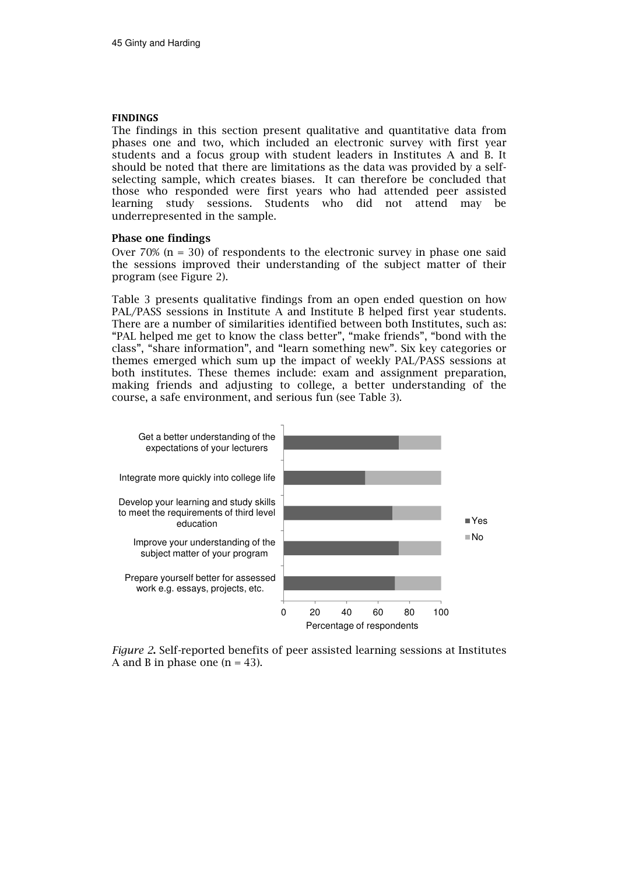#### FINDINGS

The findings in this section present qualitative and quantitative data from phases one and two, which included an electronic survey with first year students and a focus group with student leaders in Institutes A and B. It should be noted that there are limitations as the data was provided by a selfselecting sample, which creates biases. It can therefore be concluded that those who responded were first years who had attended peer assisted learning study sessions. Students who did not attend may be underrepresented in the sample.

# Phase one findings

Over 70% ( $n = 30$ ) of respondents to the electronic survey in phase one said the sessions improved their understanding of the subject matter of their program (see Figure 2).

Table 3 presents qualitative findings from an open ended question on how PAL/PASS sessions in Institute A and Institute B helped first year students. There are a number of similarities identified between both Institutes, such as: "PAL helped me get to know the class better", "make friends", "bond with the class", "share information", and "learn something new". Six key categories or themes emerged which sum up the impact of weekly PAL/PASS sessions at both institutes. These themes include: exam and assignment preparation, making friends and adjusting to college, a better understanding of the course, a safe environment, and serious fun (see Table 3).



Figure 2. Self-reported benefits of peer assisted learning sessions at Institutes A and B in phase one  $(n = 43)$ .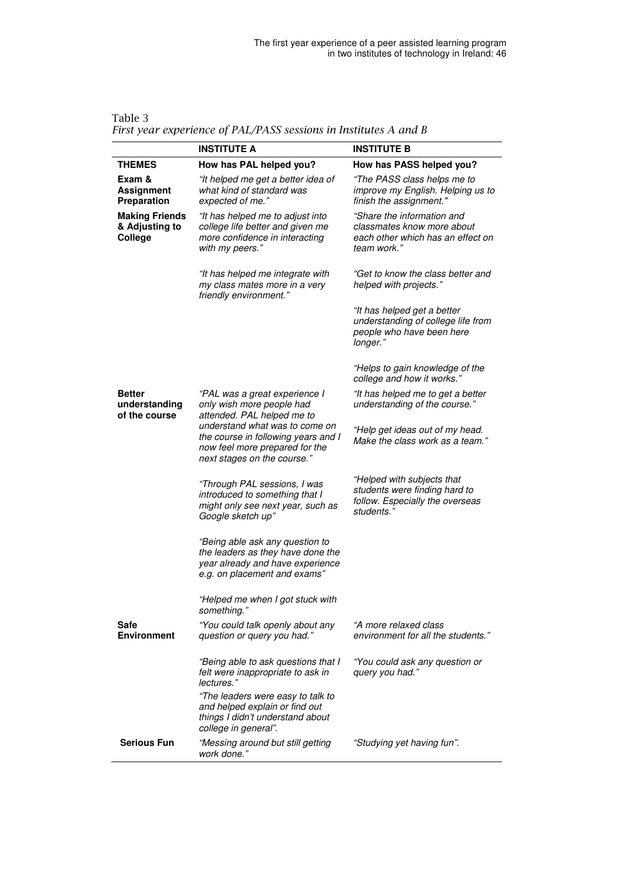|                                                    | <b>INSTITUTE A</b>                                                                                                                       | <b>INSTITUTE B</b>                                                                                           |
|----------------------------------------------------|------------------------------------------------------------------------------------------------------------------------------------------|--------------------------------------------------------------------------------------------------------------|
| <b>THEMES</b>                                      | How has PAL helped you?                                                                                                                  | How has PASS helped you?                                                                                     |
| Exam &<br><b>Assignment</b><br>Preparation         | "It helped me get a better idea of<br>what kind of standard was<br>expected of me."                                                      | "The PASS class helps me to<br>improve my English. Helping us to<br>finish the assignment."                  |
| <b>Making Friends</b><br>& Adjusting to<br>College | "It has helped me to adjust into<br>college life better and given me<br>more confidence in interacting<br>with my peers."                | "Share the information and<br>classmates know more about<br>each other which has an effect on<br>team work." |
|                                                    | "It has helped me integrate with<br>my class mates more in a very<br>friendly environment."                                              | "Get to know the class better and<br>helped with projects."                                                  |
|                                                    |                                                                                                                                          | "It has helped get a better<br>understanding of college life from<br>people who have been here<br>longer."   |
|                                                    |                                                                                                                                          | "Helps to gain knowledge of the<br>college and how it works."                                                |
| <b>Better</b><br>understanding<br>of the course    | "PAL was a great experience I<br>only wish more people had<br>attended. PAL helped me to                                                 | "It has helped me to get a better<br>understanding of the course."                                           |
|                                                    | understand what was to come on<br>the course in following years and I<br>now feel more prepared for the<br>next stages on the course."   | "Help get ideas out of my head.<br>Make the class work as a team."                                           |
|                                                    | "Through PAL sessions, I was<br>introduced to something that I<br>might only see next year, such as<br>Google sketch up"                 | "Helped with subjects that<br>students were finding hard to<br>follow. Especially the overseas<br>students." |
|                                                    | "Being able ask any question to<br>the leaders as they have done the<br>year already and have experience<br>e.g. on placement and exams" |                                                                                                              |
|                                                    | "Helped me when I got stuck with<br>something.                                                                                           |                                                                                                              |
| Safe<br><b>Environment</b>                         | "You could talk openly about any<br>question or query you had."                                                                          | "A more relaxed class<br>environment for all the students."                                                  |
|                                                    | "Being able to ask questions that I<br>felt were inappropriate to ask in<br>lectures."                                                   | "You could ask any question or<br>query you had."                                                            |
|                                                    | "The leaders were easy to talk to<br>and helped explain or find out<br>things I didn't understand about<br>college in general".          |                                                                                                              |
| <b>Serious Fun</b>                                 | "Messing around but still getting<br>work done."                                                                                         | "Studying yet having fun".                                                                                   |

Table 3 First year experience of PAL/PASS sessions in Institutes A and B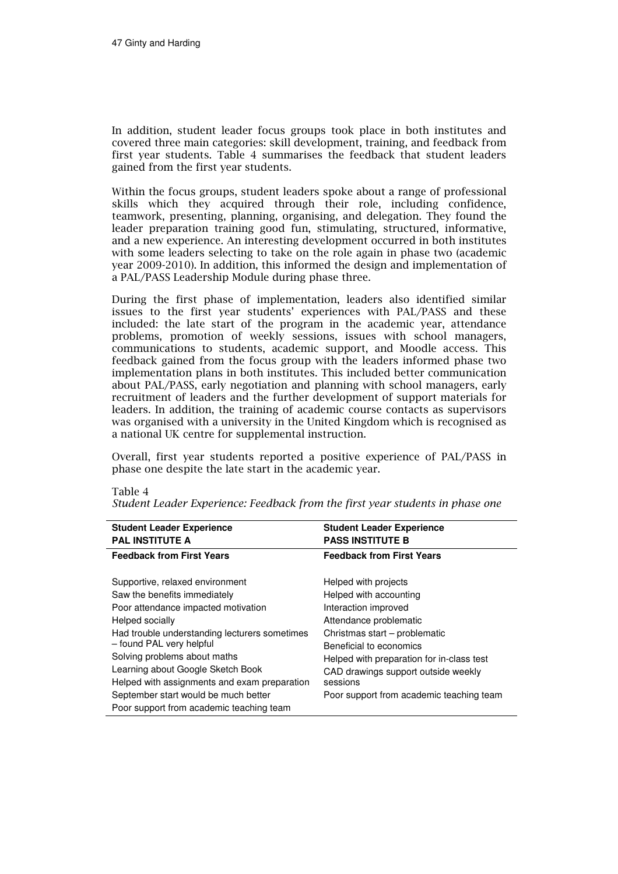In addition, student leader focus groups took place in both institutes and covered three main categories: skill development, training, and feedback from first year students. Table 4 summarises the feedback that student leaders gained from the first year students.

Within the focus groups, student leaders spoke about a range of professional skills which they acquired through their role, including confidence, teamwork, presenting, planning, organising, and delegation. They found the leader preparation training good fun, stimulating, structured, informative, and a new experience. An interesting development occurred in both institutes with some leaders selecting to take on the role again in phase two (academic year 2009-2010). In addition, this informed the design and implementation of a PAL/PASS Leadership Module during phase three.

During the first phase of implementation, leaders also identified similar issues to the first year students' experiences with PAL/PASS and these included: the late start of the program in the academic year, attendance problems, promotion of weekly sessions, issues with school managers, communications to students, academic support, and Moodle access. This feedback gained from the focus group with the leaders informed phase two implementation plans in both institutes. This included better communication about PAL/PASS, early negotiation and planning with school managers, early recruitment of leaders and the further development of support materials for leaders. In addition, the training of academic course contacts as supervisors was organised with a university in the United Kingdom which is recognised as a national UK centre for supplemental instruction.

Overall, first year students reported a positive experience of PAL/PASS in phase one despite the late start in the academic year.

| <b>Student Leader Experience</b>              | <b>Student Leader Experience</b>          |
|-----------------------------------------------|-------------------------------------------|
| <b>PAL INSTITUTE A</b>                        | <b>PASS INSTITUTE B</b>                   |
| <b>Feedback from First Years</b>              | <b>Feedback from First Years</b>          |
| Supportive, relaxed environment               | Helped with projects                      |
| Saw the benefits immediately                  | Helped with accounting                    |
| Poor attendance impacted motivation           | Interaction improved                      |
| Helped socially                               | Attendance problematic                    |
| Had trouble understanding lecturers sometimes | Christmas start - problematic             |
| - found PAL very helpful                      | Beneficial to economics                   |
| Solving problems about maths                  | Helped with preparation for in-class test |
| Learning about Google Sketch Book             | CAD drawings support outside weekly       |
| Helped with assignments and exam preparation  | sessions                                  |
| September start would be much better          | Poor support from academic teaching team  |
| Poor support from academic teaching team      |                                           |

#### Table 4

Student Leader Experience: Feedback from the first year students in phase one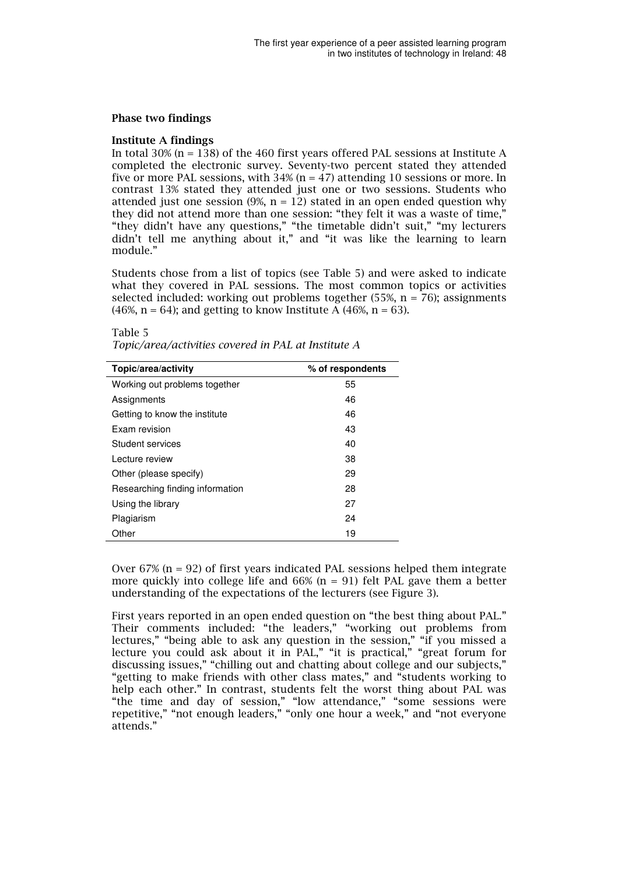#### Phase two findings

#### Institute A findings

In total 30% (n = 138) of the 460 first years offered PAL sessions at Institute A completed the electronic survey. Seventy-two percent stated they attended five or more PAL sessions, with 34% (n = 47) attending 10 sessions or more. In contrast 13% stated they attended just one or two sessions. Students who attended just one session (9%,  $n = 12$ ) stated in an open ended question why they did not attend more than one session: "they felt it was a waste of time," "they didn't have any questions," "the timetable didn't suit," "my lecturers didn't tell me anything about it," and "it was like the learning to learn module."

Students chose from a list of topics (see Table 5) and were asked to indicate what they covered in PAL sessions. The most common topics or activities selected included: working out problems together (55%,  $n = 76$ ); assignments  $(46\%, n = 64)$ ; and getting to know Institute A  $(46\%, n = 63)$ .

#### Table 5

| Topic/area/activity             | % of respondents |
|---------------------------------|------------------|
| Working out problems together   | 55               |
| Assignments                     | 46               |
| Getting to know the institute   | 46               |
| Exam revision                   | 43               |
| Student services                | 40               |
| Lecture review                  | 38               |
| Other (please specify)          | 29               |
| Researching finding information | 28               |
| Using the library               | 27               |
| Plagiarism                      | 24               |
| Other                           | 19               |

Over  $67\%$  (n = 92) of first years indicated PAL sessions helped them integrate more quickly into college life and  $66\%$  (n = 91) felt PAL gave them a better understanding of the expectations of the lecturers (see Figure 3).

First years reported in an open ended question on "the best thing about PAL." Their comments included: "the leaders," "working out problems from lectures," "being able to ask any question in the session," "if you missed a lecture you could ask about it in PAL," "it is practical," "great forum for discussing issues," "chilling out and chatting about college and our subjects," "getting to make friends with other class mates," and "students working to help each other." In contrast, students felt the worst thing about PAL was "the time and day of session," "low attendance," "some sessions were repetitive," "not enough leaders," "only one hour a week," and "not everyone attends."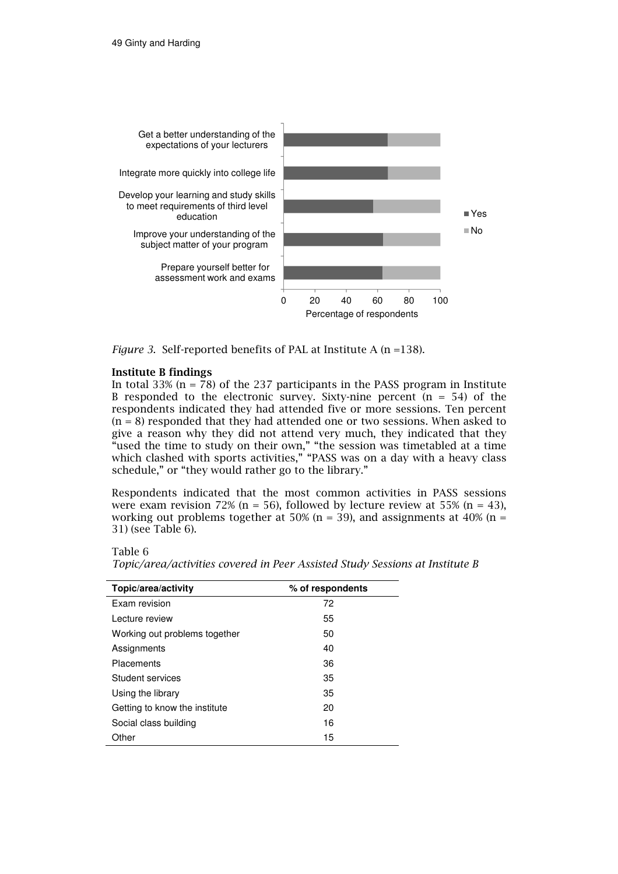

Figure 3. Self-reported benefits of PAL at Institute A (n =138).

# Institute B findings

In total 33% ( $n = 78$ ) of the 237 participants in the PASS program in Institute B responded to the electronic survey. Sixty-nine percent  $(n = 54)$  of the respondents indicated they had attended five or more sessions. Ten percent  $(n = 8)$  responded that they had attended one or two sessions. When asked to give a reason why they did not attend very much, they indicated that they "used the time to study on their own," "the session was timetabled at a time which clashed with sports activities," "PASS was on a day with a heavy class schedule," or "they would rather go to the library."

Respondents indicated that the most common activities in PASS sessions were exam revision 72% ( $n = 56$ ), followed by lecture review at 55% ( $n = 43$ ), working out problems together at 50% (n = 39), and assignments at 40% (n = 31) (see Table 6).

Table 6

| Topic/area/activity           | % of respondents |
|-------------------------------|------------------|
| Exam revision                 | 72               |
| Lecture review                | 55               |
| Working out problems together | 50               |
| Assignments                   | 40               |
| <b>Placements</b>             | 36               |
| Student services              | 35               |
| Using the library             | 35               |
| Getting to know the institute | 20               |
| Social class building         | 16               |
| Other                         | 15               |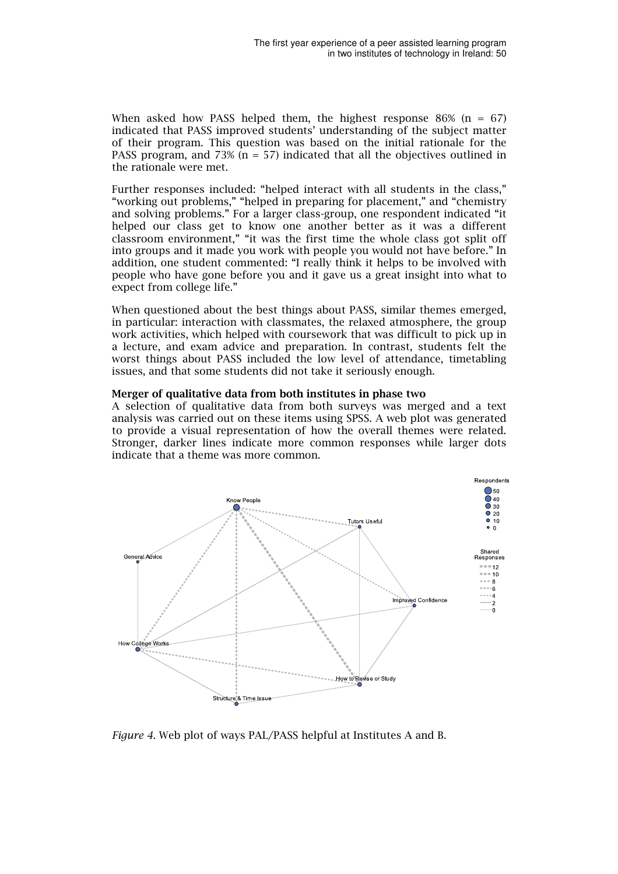When asked how PASS helped them, the highest response 86% ( $n = 67$ ) indicated that PASS improved students' understanding of the subject matter of their program. This question was based on the initial rationale for the PASS program, and 73% ( $n = 57$ ) indicated that all the objectives outlined in the rationale were met.

Further responses included: "helped interact with all students in the class," "working out problems," "helped in preparing for placement," and "chemistry and solving problems." For a larger class-group, one respondent indicated "it helped our class get to know one another better as it was a different classroom environment," "it was the first time the whole class got split off into groups and it made you work with people you would not have before." In addition, one student commented: "I really think it helps to be involved with people who have gone before you and it gave us a great insight into what to expect from college life."

When questioned about the best things about PASS, similar themes emerged, in particular: interaction with classmates, the relaxed atmosphere, the group work activities, which helped with coursework that was difficult to pick up in a lecture, and exam advice and preparation. In contrast, students felt the worst things about PASS included the low level of attendance, timetabling issues, and that some students did not take it seriously enough.

# Merger of qualitative data from both institutes in phase two

A selection of qualitative data from both surveys was merged and a text analysis was carried out on these items using SPSS. A web plot was generated to provide a visual representation of how the overall themes were related. Stronger, darker lines indicate more common responses while larger dots indicate that a theme was more common.



Figure 4. Web plot of ways PAL/PASS helpful at Institutes A and B.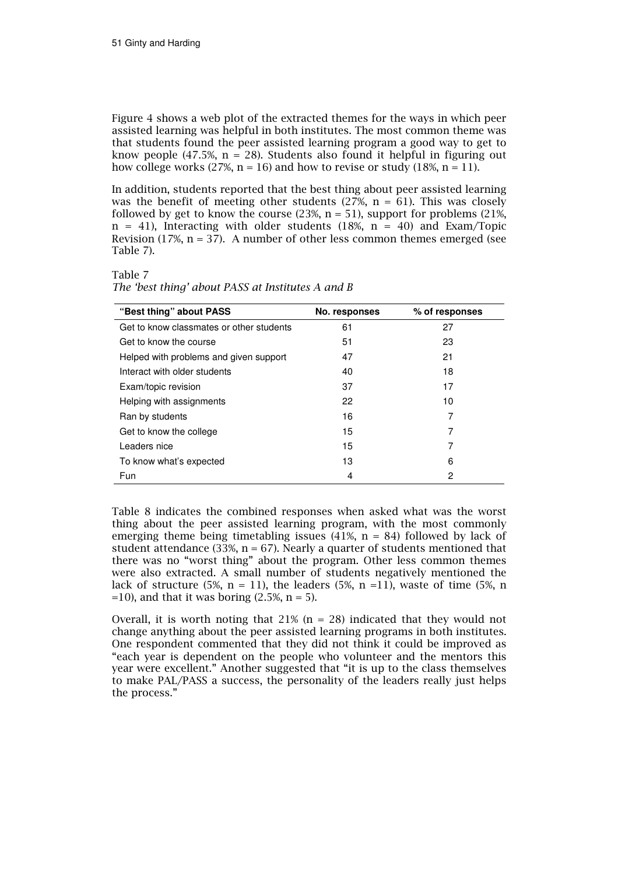Figure 4 shows a web plot of the extracted themes for the ways in which peer assisted learning was helpful in both institutes. The most common theme was that students found the peer assisted learning program a good way to get to know people (47.5%,  $n = 28$ ). Students also found it helpful in figuring out how college works (27%,  $n = 16$ ) and how to revise or study (18%,  $n = 11$ ).

In addition, students reported that the best thing about peer assisted learning was the benefit of meeting other students (27%,  $n = 61$ ). This was closely followed by get to know the course  $(23\%, n = 51)$ , support for problems  $(21\%,$  $n = 41$ ), Interacting with older students (18%,  $n = 40$ ) and Exam/Topic Revision (17%,  $n = 37$ ). A number of other less common themes emerged (see Table 7).

# Table 7

| "Best thing" about PASS                  | No. responses | % of responses |
|------------------------------------------|---------------|----------------|
| Get to know classmates or other students | 61            | 27             |
| Get to know the course                   | 51            | 23             |
| Helped with problems and given support   | 47            | 21             |
| Interact with older students             | 40            | 18             |
| Exam/topic revision                      | 37            | 17             |
| Helping with assignments                 | 22            | 10             |
| Ran by students                          | 16            | 7              |
| Get to know the college                  | 15            | 7              |
| Leaders nice                             | 15            | 7              |
| To know what's expected                  | 13            | 6              |
| Fun                                      | 4             | 2              |

The 'best thing' about PASS at Institutes A and B

Table 8 indicates the combined responses when asked what was the worst thing about the peer assisted learning program, with the most commonly emerging theme being timetabling issues  $(41\%, n = 84)$  followed by lack of student attendance (33%,  $n = 67$ ). Nearly a quarter of students mentioned that there was no "worst thing" about the program. Other less common themes were also extracted. A small number of students negatively mentioned the lack of structure (5%, n = 11), the leaders (5%, n = 11), waste of time (5%, n  $=10$ ), and that it was boring (2.5%, n = 5).

Overall, it is worth noting that  $21\%$  (n = 28) indicated that they would not change anything about the peer assisted learning programs in both institutes. One respondent commented that they did not think it could be improved as "each year is dependent on the people who volunteer and the mentors this year were excellent." Another suggested that "it is up to the class themselves to make PAL/PASS a success, the personality of the leaders really just helps the process."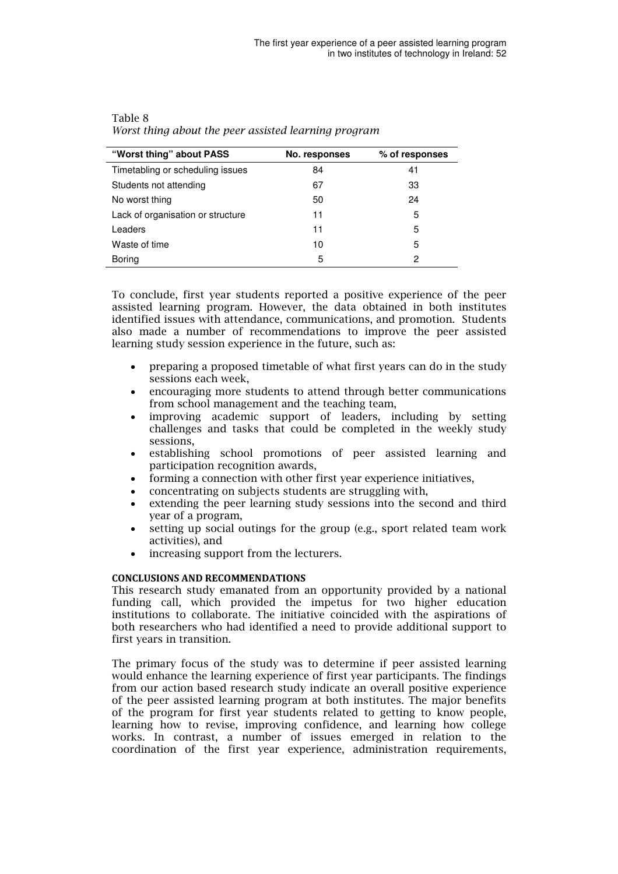| "Worst thing" about PASS          | No. responses | % of responses |
|-----------------------------------|---------------|----------------|
| Timetabling or scheduling issues  | 84            | 41             |
| Students not attending            | 67            | 33             |
| No worst thing                    | 50            | 24             |
| Lack of organisation or structure | 11            | 5              |
| Leaders                           | 11            | 5              |
| Waste of time                     | 10            | 5              |
| Boring                            | 5             | 2              |

| Table 8                                              |
|------------------------------------------------------|
| Worst thing about the peer assisted learning program |

To conclude, first year students reported a positive experience of the peer assisted learning program. However, the data obtained in both institutes identified issues with attendance, communications, and promotion. Students also made a number of recommendations to improve the peer assisted learning study session experience in the future, such as:

- preparing a proposed timetable of what first years can do in the study sessions each week,
- encouraging more students to attend through better communications from school management and the teaching team,
- improving academic support of leaders, including by setting challenges and tasks that could be completed in the weekly study sessions,
- establishing school promotions of peer assisted learning and participation recognition awards,
- forming a connection with other first year experience initiatives,
- concentrating on subjects students are struggling with,
- extending the peer learning study sessions into the second and third year of a program,
- setting up social outings for the group (e.g., sport related team work activities), and
- increasing support from the lecturers.

# CONCLUSIONS AND RECOMMENDATIONS

This research study emanated from an opportunity provided by a national funding call, which provided the impetus for two higher education institutions to collaborate. The initiative coincided with the aspirations of both researchers who had identified a need to provide additional support to first years in transition.

The primary focus of the study was to determine if peer assisted learning would enhance the learning experience of first year participants. The findings from our action based research study indicate an overall positive experience of the peer assisted learning program at both institutes. The major benefits of the program for first year students related to getting to know people, learning how to revise, improving confidence, and learning how college works. In contrast, a number of issues emerged in relation to the coordination of the first year experience, administration requirements,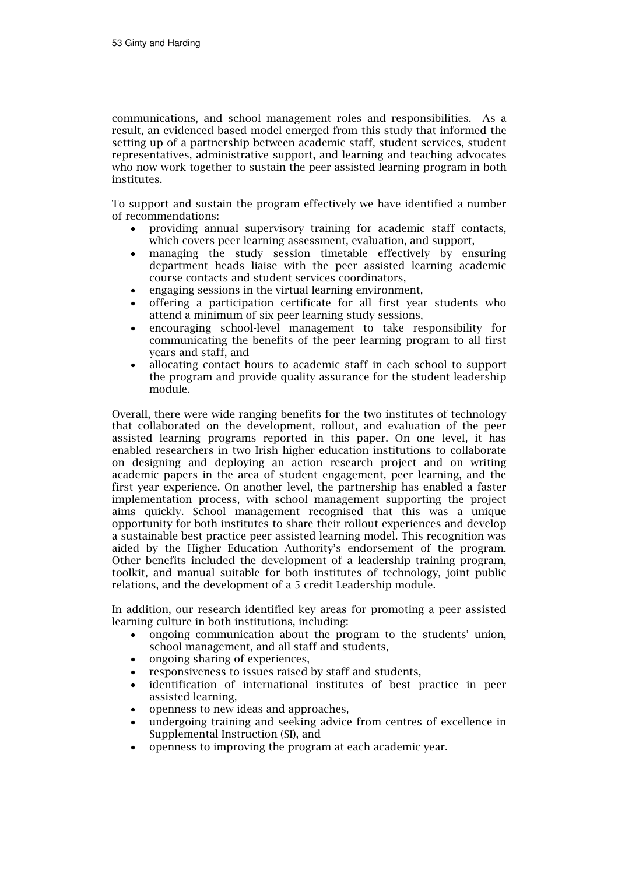communications, and school management roles and responsibilities. As a result, an evidenced based model emerged from this study that informed the setting up of a partnership between academic staff, student services, student representatives, administrative support, and learning and teaching advocates who now work together to sustain the peer assisted learning program in both institutes.

To support and sustain the program effectively we have identified a number of recommendations:

- providing annual supervisory training for academic staff contacts, which covers peer learning assessment, evaluation, and support,
- managing the study session timetable effectively by ensuring department heads liaise with the peer assisted learning academic course contacts and student services coordinators,
- engaging sessions in the virtual learning environment,
- offering a participation certificate for all first year students who attend a minimum of six peer learning study sessions,
- encouraging school-level management to take responsibility for communicating the benefits of the peer learning program to all first years and staff, and
- allocating contact hours to academic staff in each school to support the program and provide quality assurance for the student leadership module.

Overall, there were wide ranging benefits for the two institutes of technology that collaborated on the development, rollout, and evaluation of the peer assisted learning programs reported in this paper. On one level, it has enabled researchers in two Irish higher education institutions to collaborate on designing and deploying an action research project and on writing academic papers in the area of student engagement, peer learning, and the first year experience. On another level, the partnership has enabled a faster implementation process, with school management supporting the project aims quickly. School management recognised that this was a unique opportunity for both institutes to share their rollout experiences and develop a sustainable best practice peer assisted learning model. This recognition was aided by the Higher Education Authority's endorsement of the program. Other benefits included the development of a leadership training program, toolkit, and manual suitable for both institutes of technology, joint public relations, and the development of a 5 credit Leadership module.

In addition, our research identified key areas for promoting a peer assisted learning culture in both institutions, including:

- ongoing communication about the program to the students' union, school management, and all staff and students,
- ongoing sharing of experiences,
- responsiveness to issues raised by staff and students,
- identification of international institutes of best practice in peer assisted learning,
- openness to new ideas and approaches,
- undergoing training and seeking advice from centres of excellence in Supplemental Instruction (SI), and
- openness to improving the program at each academic year.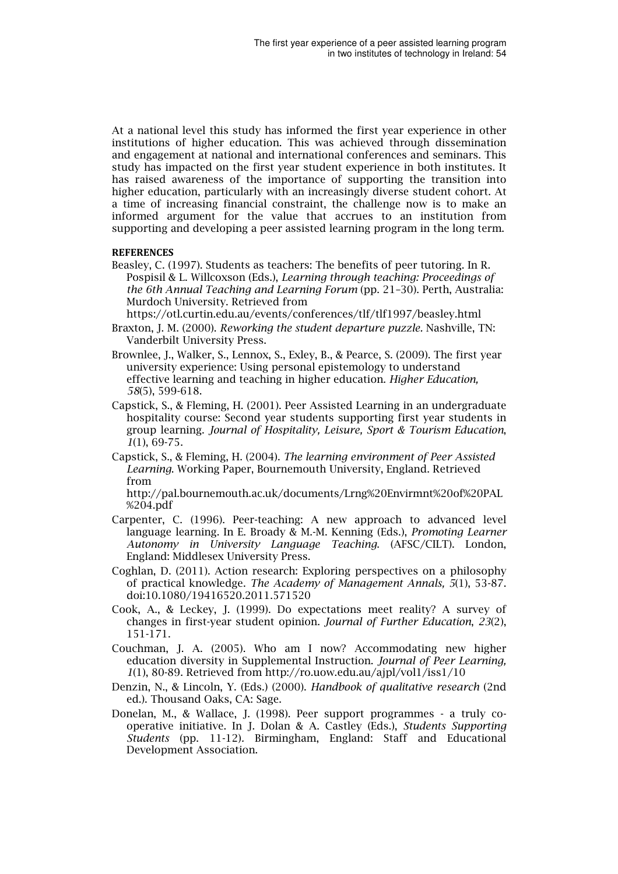At a national level this study has informed the first year experience in other institutions of higher education. This was achieved through dissemination and engagement at national and international conferences and seminars. This study has impacted on the first year student experience in both institutes. It has raised awareness of the importance of supporting the transition into higher education, particularly with an increasingly diverse student cohort. At a time of increasing financial constraint, the challenge now is to make an informed argument for the value that accrues to an institution from supporting and developing a peer assisted learning program in the long term.

#### **REFERENCES**

Beasley, C. (1997). Students as teachers: The benefits of peer tutoring. In R. Pospisil & L. Willcoxson (Eds.), Learning through teaching: Proceedings of the 6th Annual Teaching and Learning Forum (pp. 21–30). Perth, Australia: Murdoch University. Retrieved from

https://otl.curtin.edu.au/events/conferences/tlf/tlf1997/beasley.html

- Braxton, J. M. (2000). Reworking the student departure puzzle. Nashville, TN: Vanderbilt University Press.
- Brownlee, J., Walker, S., Lennox, S., Exley, B., & Pearce, S. (2009). The first year university experience: Using personal epistemology to understand effective learning and teaching in higher education. Higher Education, 58(5), 599-618.
- Capstick, S., & Fleming, H. (2001). Peer Assisted Learning in an undergraduate hospitality course: Second year students supporting first year students in group learning. Journal of Hospitality, Leisure, Sport & Tourism Education,  $1(1), 69-75.$
- Capstick, S., & Fleming, H. (2004). The learning environment of Peer Assisted Learning. Working Paper, Bournemouth University, England. Retrieved from

http://pal.bournemouth.ac.uk/documents/Lrng%20Envirmnt%20of%20PAL %204.pdf

- Carpenter, C. (1996). Peer-teaching: A new approach to advanced level language learning. In E. Broady & M.-M. Kenning (Eds.), Promoting Learner Autonomy in University Language Teaching. (AFSC/CILT). London, England: Middlesex University Press.
- Coghlan, D. (2011). Action research: Exploring perspectives on a philosophy of practical knowledge. The Academy of Management Annals, 5(1), 53-87. doi:10.1080/19416520.2011.571520
- Cook, A., & Leckey, J. (1999). Do expectations meet reality? A survey of changes in first-year student opinion. Journal of Further Education, 23(2), 151-171.
- Couchman, J. A. (2005). Who am I now? Accommodating new higher education diversity in Supplemental Instruction. Journal of Peer Learning, 1(1), 80-89. Retrieved from http://ro.uow.edu.au/ajpl/vol1/iss1/10
- Denzin, N., & Lincoln, Y. (Eds.) (2000). Handbook of qualitative research (2nd ed.). Thousand Oaks, CA: Sage.
- Donelan, M., & Wallace, J. (1998). Peer support programmes a truly cooperative initiative. In J. Dolan & A. Castley (Eds.), Students Supporting Students (pp. 11-12). Birmingham, England: Staff and Educational Development Association.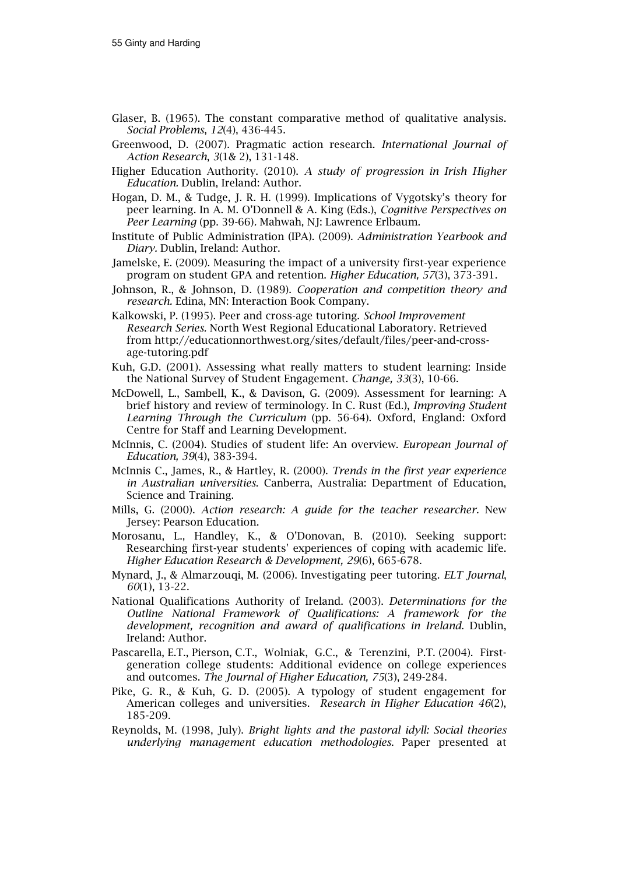- Glaser, B. (1965). The constant comparative method of qualitative analysis. Social Problems, 12(4), 436-445.
- Greenwood, D. (2007). Pragmatic action research. International Journal of Action Research, 3(1& 2), 131-148.
- Higher Education Authority. (2010). A study of progression in Irish Higher Education. Dublin, Ireland: Author.
- Hogan, D. M., & Tudge, J. R. H. (1999). Implications of Vygotsky's theory for peer learning. In A. M. O'Donnell & A. King (Eds.), Cognitive Perspectives on Peer Learning (pp. 39-66). Mahwah, NJ: Lawrence Erlbaum.
- Institute of Public Administration (IPA). (2009). Administration Yearbook and Diary. Dublin, Ireland: Author.
- Jamelske, E. (2009). Measuring the impact of a university first-year experience program on student GPA and retention. Higher Education, 57(3), 373-391.
- Johnson, R., & Johnson, D. (1989). Cooperation and competition theory and research. Edina, MN: Interaction Book Company.
- Kalkowski, P. (1995). Peer and cross-age tutoring. School Improvement Research Series. North West Regional Educational Laboratory. Retrieved from http://educationnorthwest.org/sites/default/files/peer-and-crossage-tutoring.pdf
- Kuh, G.D. (2001). Assessing what really matters to student learning: Inside the National Survey of Student Engagement. Change, 33(3), 10-66.
- McDowell, L., Sambell, K., & Davison, G. (2009). Assessment for learning: A brief history and review of terminology. In C. Rust (Ed.), Improving Student Learning Through the Curriculum (pp. 56-64). Oxford, England: Oxford Centre for Staff and Learning Development.
- McInnis, C. (2004). Studies of student life: An overview. European Journal of Education, 39(4), 383-394.
- McInnis C., James, R., & Hartley, R. (2000). Trends in the first year experience in Australian universities. Canberra, Australia: Department of Education, Science and Training.
- Mills, G. (2000). Action research: A guide for the teacher researcher. New Jersey: Pearson Education.
- Morosanu, L., Handley, K., & O'Donovan, B. (2010). Seeking support: Researching first-year students' experiences of coping with academic life. Higher Education Research & Development, 29(6), 665-678.
- Mynard, J., & Almarzouqi, M. (2006). Investigating peer tutoring. ELT Journal, 60(1), 13-22.
- National Qualifications Authority of Ireland. (2003). Determinations for the Outline National Framework of Qualifications: A framework for the development, recognition and award of qualifications in Ireland. Dublin, Ireland: Author.
- Pascarella, E.T., Pierson, C.T., Wolniak, G.C., & Terenzini, P.T. (2004). Firstgeneration college students: Additional evidence on college experiences and outcomes. The Journal of Higher Education, 75(3), 249-284.
- Pike, G. R., & Kuh, G. D. (2005). A typology of student engagement for American colleges and universities. Research in Higher Education 46(2), 185-209.
- Reynolds, M. (1998, July). Bright lights and the pastoral idyll: Social theories underlying management education methodologies. Paper presented at